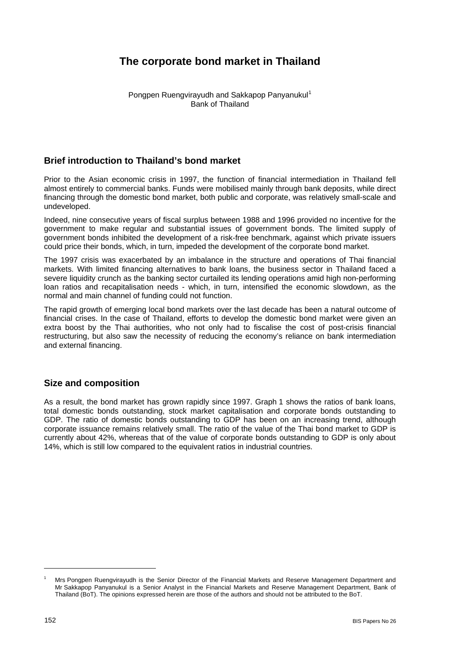# **The corporate bond market in Thailand**

Pongpen Ruengvirayudh and Sakkapop Panyanukul<sup>[1](#page-0-0)</sup> Bank of Thailand

# **Brief introduction to Thailand's bond market**

Prior to the Asian economic crisis in 1997, the function of financial intermediation in Thailand fell almost entirely to commercial banks. Funds were mobilised mainly through bank deposits, while direct financing through the domestic bond market, both public and corporate, was relatively small-scale and undeveloped.

Indeed, nine consecutive years of fiscal surplus between 1988 and 1996 provided no incentive for the government to make regular and substantial issues of government bonds. The limited supply of government bonds inhibited the development of a risk-free benchmark, against which private issuers could price their bonds, which, in turn, impeded the development of the corporate bond market.

The 1997 crisis was exacerbated by an imbalance in the structure and operations of Thai financial markets. With limited financing alternatives to bank loans, the business sector in Thailand faced a severe liquidity crunch as the banking sector curtailed its lending operations amid high non-performing loan ratios and recapitalisation needs - which, in turn, intensified the economic slowdown, as the normal and main channel of funding could not function.

The rapid growth of emerging local bond markets over the last decade has been a natural outcome of financial crises. In the case of Thailand, efforts to develop the domestic bond market were given an extra boost by the Thai authorities, who not only had to fiscalise the cost of post-crisis financial restructuring, but also saw the necessity of reducing the economy's reliance on bank intermediation and external financing.

### **Size and composition**

As a result, the bond market has grown rapidly since 1997. Graph 1 shows the ratios of bank loans, total domestic bonds outstanding, stock market capitalisation and corporate bonds outstanding to GDP. The ratio of domestic bonds outstanding to GDP has been on an increasing trend, although corporate issuance remains relatively small. The ratio of the value of the Thai bond market to GDP is currently about 42%, whereas that of the value of corporate bonds outstanding to GDP is only about 14%, which is still low compared to the equivalent ratios in industrial countries.

l

<span id="page-0-0"></span><sup>1</sup> Mrs Pongpen Ruengvirayudh is the Senior Director of the Financial Markets and Reserve Management Department and Mr Sakkapop Panyanukul is a Senior Analyst in the Financial Markets and Reserve Management Department, Bank of Thailand (BoT). The opinions expressed herein are those of the authors and should not be attributed to the BoT.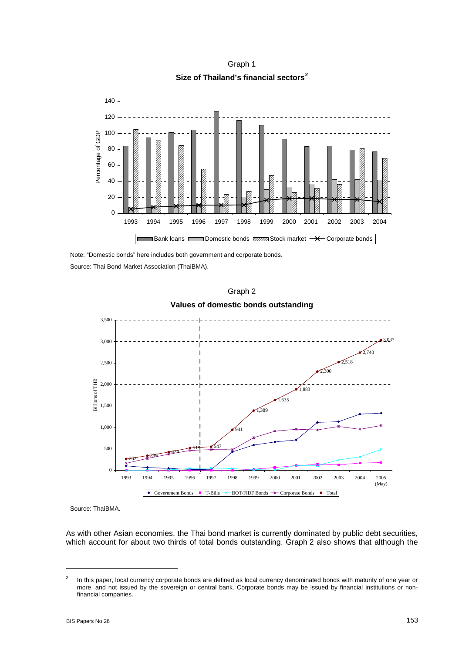Graph 1 **Size of Thailand's financial sectors[2](#page-1-0)**



Note: "Domestic bonds" here includes both government and corporate bonds. Source: Thai Bond Market Association (ThaiBMA).



Source: ThaiBMA.

As with other Asian economies, the Thai bond market is currently dominated by public debt securities, which account for about two thirds of total bonds outstanding. Graph 2 also shows that although the

1

<span id="page-1-0"></span><sup>2</sup> In this paper, local currency corporate bonds are defined as local currency denominated bonds with maturity of one year or more, and not issued by the sovereign or central bank. Corporate bonds may be issued by financial institutions or nonfinancial companies.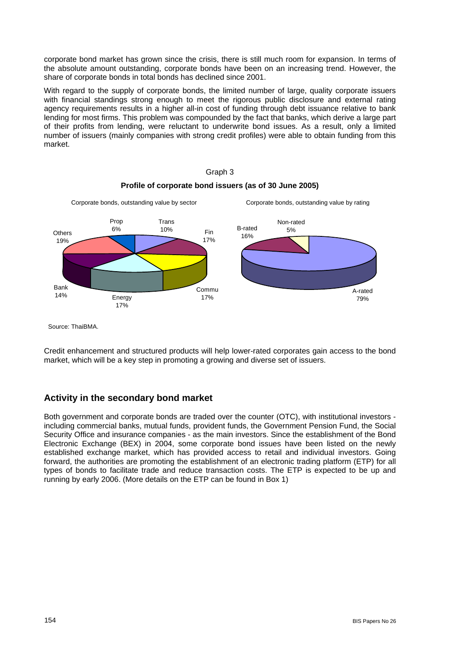corporate bond market has grown since the crisis, there is still much room for expansion. In terms of the absolute amount outstanding, corporate bonds have been on an increasing trend. However, the share of corporate bonds in total bonds has declined since 2001.

With regard to the supply of corporate bonds, the limited number of large, quality corporate issuers with financial standings strong enough to meet the rigorous public disclosure and external rating agency requirements results in a higher all-in cost of funding through debt issuance relative to bank lending for most firms. This problem was compounded by the fact that banks, which derive a large part of their profits from lending, were reluctant to underwrite bond issues. As a result, only a limited number of issuers (mainly companies with strong credit profiles) were able to obtain funding from this market.



# Graph 3 **Profile of corporate bond issuers (as of 30 June 2005)**

Source: ThaiBMA.

Credit enhancement and structured products will help lower-rated corporates gain access to the bond market, which will be a key step in promoting a growing and diverse set of issuers.

# **Activity in the secondary bond market**

Both government and corporate bonds are traded over the counter (OTC), with institutional investors including commercial banks, mutual funds, provident funds, the Government Pension Fund, the Social Security Office and insurance companies - as the main investors. Since the establishment of the Bond Electronic Exchange (BEX) in 2004, some corporate bond issues have been listed on the newly established exchange market, which has provided access to retail and individual investors. Going forward, the authorities are promoting the establishment of an electronic trading platform (ETP) for all types of bonds to facilitate trade and reduce transaction costs. The ETP is expected to be up and running by early 2006. (More details on the ETP can be found in Box 1)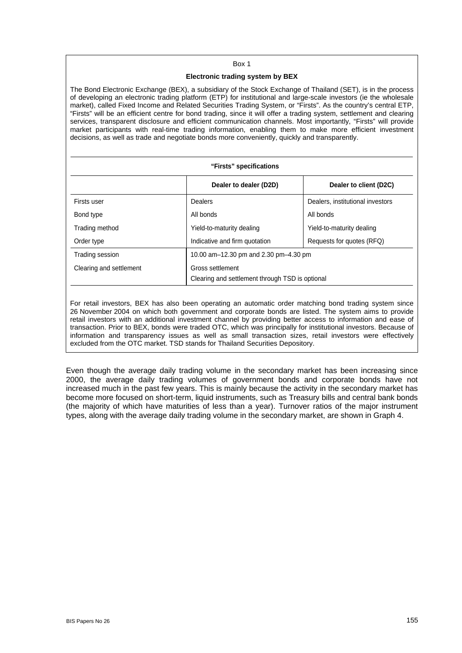Box 1

#### **Electronic trading system by BEX**

The Bond Electronic Exchange (BEX), a subsidiary of the Stock Exchange of Thailand (SET), is in the process of developing an electronic trading platform (ETP) for institutional and large-scale investors (ie the wholesale market), called Fixed Income and Related Securities Trading System, or "Firsts". As the country's central ETP, "Firsts" will be an efficient centre for bond trading, since it will offer a trading system, settlement and clearing services, transparent disclosure and efficient communication channels. Most importantly, "Firsts" will provide market participants with real-time trading information, enabling them to make more efficient investment decisions, as well as trade and negotiate bonds more conveniently, quickly and transparently.

| "Firsts" specifications |                                                                     |                                  |  |
|-------------------------|---------------------------------------------------------------------|----------------------------------|--|
|                         | Dealer to dealer (D2D)                                              | Dealer to client (D2C)           |  |
| Firsts user             | Dealers                                                             | Dealers, institutional investors |  |
| Bond type               | All bonds                                                           | All bonds                        |  |
| Trading method          | Yield-to-maturity dealing                                           | Yield-to-maturity dealing        |  |
| Order type              | Indicative and firm quotation                                       | Requests for quotes (RFQ)        |  |
| Trading session         | 10.00 am-12.30 pm and 2.30 pm-4.30 pm                               |                                  |  |
| Clearing and settlement | Gross settlement<br>Clearing and settlement through TSD is optional |                                  |  |

For retail investors, BEX has also been operating an automatic order matching bond trading system since 26 November 2004 on which both government and corporate bonds are listed. The system aims to provide retail investors with an additional investment channel by providing better access to information and ease of transaction. Prior to BEX, bonds were traded OTC, which was principally for institutional investors. Because of information and transparency issues as well as small transaction sizes, retail investors were effectively excluded from the OTC market. TSD stands for Thailand Securities Depository.

Even though the average daily trading volume in the secondary market has been increasing since 2000, the average daily trading volumes of government bonds and corporate bonds have not increased much in the past few years. This is mainly because the activity in the secondary market has become more focused on short-term, liquid instruments, such as Treasury bills and central bank bonds (the majority of which have maturities of less than a year). Turnover ratios of the major instrument types, along with the average daily trading volume in the secondary market, are shown in Graph 4.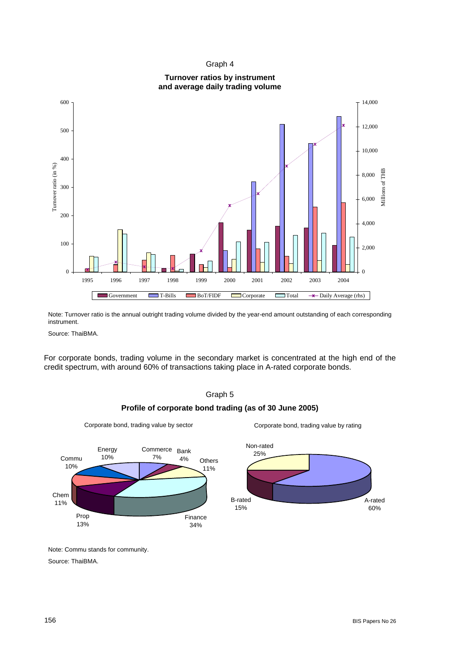# Graph 4





Note: Turnover ratio is the annual outright trading volume divided by the year-end amount outstanding of each corresponding instrument.

Source: ThaiBMA.

For corporate bonds, trading volume in the secondary market is concentrated at the high end of the credit spectrum, with around 60% of transactions taking place in A-rated corporate bonds.



Note: Commu stands for community.

Source: ThaiBMA.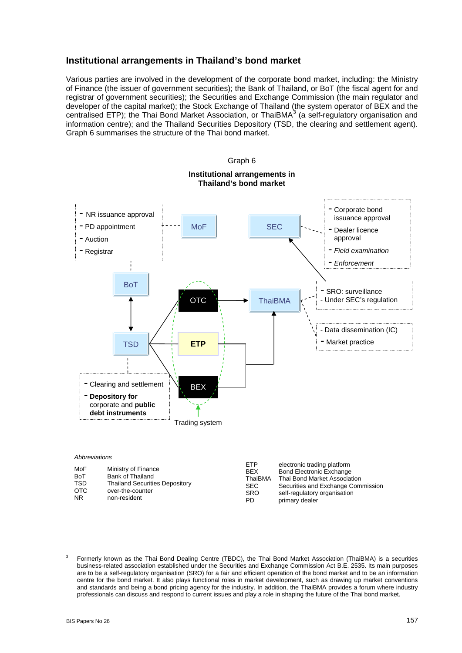# **Institutional arrangements in Thailand's bond market**

Various parties are involved in the development of the corporate bond market, including: the Ministry of Finance (the issuer of government securities); the Bank of Thailand, or BoT (the fiscal agent for and registrar of government securities); the Securities and Exchange Commission (the main regulator and developer of the capital market); the Stock Exchange of Thailand (the system operator of BEX and the centralised ETP); the Thai Bond Market Association, or ThaiBMA<sup>[3](#page-5-0)</sup> (a self-regulatory organisation and information centre); and the Thailand Securities Depository (TSD, the clearing and settlement agent). Graph 6 summarises the structure of the Thai bond market.



### Graph 6 **Institutional arrangements in Thailand's bond market**

#### *Abbreviations*

| MoF<br>Ministry of Finance<br>BoT<br>Bank of Thailand<br>TSD<br><b>Thailand Securities Depository</b><br>отс<br>over-the-counter<br>NR.<br>non-resident | <b>FTP</b><br><b>BEX</b><br>ThaiBMA<br>SEC.<br><b>SRO</b><br>PD. | electronic trading platform<br><b>Bond Electronic Exchange</b><br>Thai Bond Market Association<br>Securities and Exchange Commission<br>self-regulatory organisation<br>primary dealer |
|---------------------------------------------------------------------------------------------------------------------------------------------------------|------------------------------------------------------------------|----------------------------------------------------------------------------------------------------------------------------------------------------------------------------------------|
|---------------------------------------------------------------------------------------------------------------------------------------------------------|------------------------------------------------------------------|----------------------------------------------------------------------------------------------------------------------------------------------------------------------------------------|

-

<span id="page-5-0"></span><sup>3</sup> Formerly known as the Thai Bond Dealing Centre (TBDC), the Thai Bond Market Association (ThaiBMA) is a securities business-related association established under the Securities and Exchange Commission Act B.E. 2535. Its main purposes are to be a self-regulatory organisation (SRO) for a fair and efficient operation of the bond market and to be an information centre for the bond market. It also plays functional roles in market development, such as drawing up market conventions and standards and being a bond pricing agency for the industry. In addition, the ThaiBMA provides a forum where industry professionals can discuss and respond to current issues and play a role in shaping the future of the Thai bond market.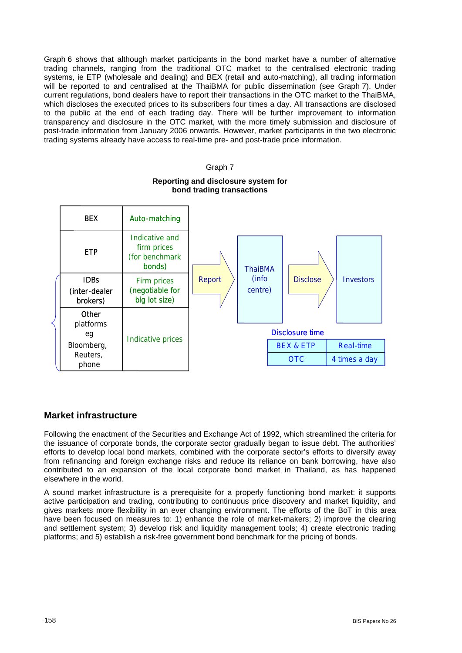Graph 6 shows that although market participants in the bond market have a number of alternative trading channels, ranging from the traditional OTC market to the centralised electronic trading systems, ie ETP (wholesale and dealing) and BEX (retail and auto-matching), all trading information will be reported to and centralised at the ThaiBMA for public dissemination (see Graph 7). Under current regulations, bond dealers have to report their transactions in the OTC market to the ThaiBMA, which discloses the executed prices to its subscribers four times a day. All transactions are disclosed to the public at the end of each trading day. There will be further improvement to information transparency and disclosure in the OTC market, with the more timely submission and disclosure of post-trade information from January 2006 onwards. However, market participants in the two electronic trading systems already have access to real-time pre- and post-trade price information.





### **Market infrastructure**

Following the enactment of the Securities and Exchange Act of 1992, which streamlined the criteria for the issuance of corporate bonds, the corporate sector gradually began to issue debt. The authorities' efforts to develop local bond markets, combined with the corporate sector's efforts to diversify away from refinancing and foreign exchange risks and reduce its reliance on bank borrowing, have also contributed to an expansion of the local corporate bond market in Thailand, as has happened elsewhere in the world.

A sound market infrastructure is a prerequisite for a properly functioning bond market: it supports active participation and trading, contributing to continuous price discovery and market liquidity, and gives markets more flexibility in an ever changing environment. The efforts of the BoT in this area have been focused on measures to: 1) enhance the role of market-makers; 2) improve the clearing and settlement system; 3) develop risk and liquidity management tools; 4) create electronic trading platforms; and 5) establish a risk-free government bond benchmark for the pricing of bonds.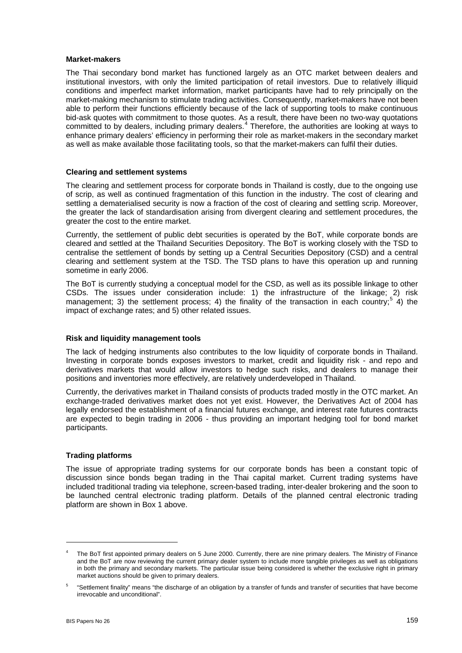#### **Market-makers**

The Thai secondary bond market has functioned largely as an OTC market between dealers and institutional investors, with only the limited participation of retail investors. Due to relatively illiquid conditions and imperfect market information, market participants have had to rely principally on the market-making mechanism to stimulate trading activities. Consequently, market-makers have not been able to perform their functions efficiently because of the lack of supporting tools to make continuous bid-ask quotes with commitment to those quotes. As a result, there have been no two-way quotations committed to by dealers, including primary dealers.<sup>[4](#page-7-0)</sup> Therefore, the authorities are looking at ways to enhance primary dealers' efficiency in performing their role as market-makers in the secondary market as well as make available those facilitating tools, so that the market-makers can fulfil their duties.

#### **Clearing and settlement systems**

The clearing and settlement process for corporate bonds in Thailand is costly, due to the ongoing use of scrip, as well as continued fragmentation of this function in the industry. The cost of clearing and settling a dematerialised security is now a fraction of the cost of clearing and settling scrip. Moreover, the greater the lack of standardisation arising from divergent clearing and settlement procedures, the greater the cost to the entire market.

Currently, the settlement of public debt securities is operated by the BoT, while corporate bonds are cleared and settled at the Thailand Securities Depository. The BoT is working closely with the TSD to centralise the settlement of bonds by setting up a Central Securities Depository (CSD) and a central clearing and settlement system at the TSD. The TSD plans to have this operation up and running sometime in early 2006.

The BoT is currently studying a conceptual model for the CSD, as well as its possible linkage to other CSDs. The issues under consideration include: 1) the infrastructure of the linkage; 2) risk management; 3) the settlement process; 4) the finality of the transaction in each country;<sup>[5](#page-7-1)</sup> 4) the impact of exchange rates; and 5) other related issues.

#### **Risk and liquidity management tools**

The lack of hedging instruments also contributes to the low liquidity of corporate bonds in Thailand. Investing in corporate bonds exposes investors to market, credit and liquidity risk - and repo and derivatives markets that would allow investors to hedge such risks, and dealers to manage their positions and inventories more effectively, are relatively underdeveloped in Thailand.

Currently, the derivatives market in Thailand consists of products traded mostly in the OTC market. An exchange-traded derivatives market does not yet exist. However, the Derivatives Act of 2004 has legally endorsed the establishment of a financial futures exchange, and interest rate futures contracts are expected to begin trading in 2006 - thus providing an important hedging tool for bond market participants.

#### **Trading platforms**

The issue of appropriate trading systems for our corporate bonds has been a constant topic of discussion since bonds began trading in the Thai capital market. Current trading systems have included traditional trading via telephone, screen-based trading, inter-dealer brokering and the soon to be launched central electronic trading platform. Details of the planned central electronic trading platform are shown in Box 1 above.

-

<span id="page-7-0"></span><sup>4</sup> The BoT first appointed primary dealers on 5 June 2000. Currently, there are nine primary dealers. The Ministry of Finance and the BoT are now reviewing the current primary dealer system to include more tangible privileges as well as obligations in both the primary and secondary markets. The particular issue being considered is whether the exclusive right in primary market auctions should be given to primary dealers.

<span id="page-7-1"></span><sup>5</sup> "Settlement finality" means "the discharge of an obligation by a transfer of funds and transfer of securities that have become irrevocable and unconditional".